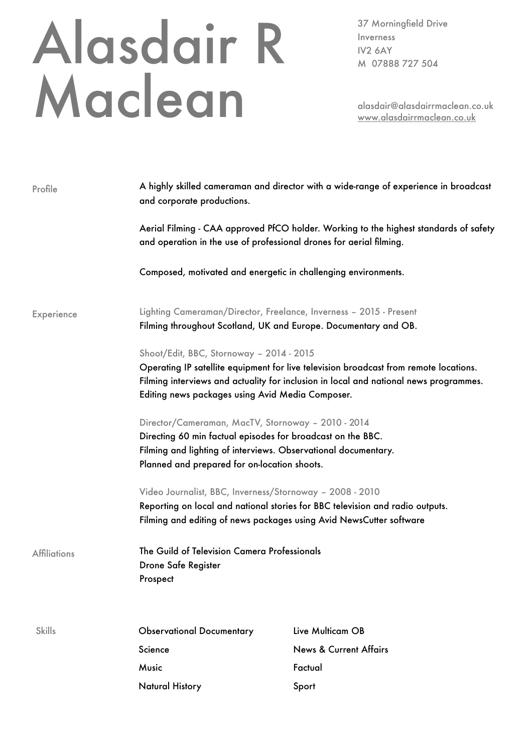## Alasdair R Maclean

37 Morningfield Drive Inverness IV2 6AY M 07888 727 504

alasdair@alasdairrmaclean.co.uk [www.alasdairrmaclean.co.uk](http://www.alasdairrmaclean.co.uk)

| Profile             | A highly skilled cameraman and director with a wide-range of experience in broadcast<br>and corporate productions.                |                                                                                       |  |
|---------------------|-----------------------------------------------------------------------------------------------------------------------------------|---------------------------------------------------------------------------------------|--|
|                     | and operation in the use of professional drones for aerial filming.                                                               | Aerial Filming - CAA approved PfCO holder. Working to the highest standards of safety |  |
|                     | Composed, motivated and energetic in challenging environments.                                                                    |                                                                                       |  |
| Experience          | Lighting Cameraman/Director, Freelance, Inverness - 2015 - Present                                                                |                                                                                       |  |
|                     | Filming throughout Scotland, UK and Europe. Documentary and OB.                                                                   |                                                                                       |  |
|                     | Shoot/Edit, BBC, Stornoway - 2014 - 2015<br>Operating IP satellite equipment for live television broadcast from remote locations. |                                                                                       |  |
|                     |                                                                                                                                   |                                                                                       |  |
|                     | Editing news packages using Avid Media Composer.                                                                                  |                                                                                       |  |
|                     | Director/Cameraman, MacTV, Stornoway - 2010 - 2014                                                                                |                                                                                       |  |
|                     | Directing 60 min factual episodes for broadcast on the BBC.                                                                       |                                                                                       |  |
|                     | Filming and lighting of interviews. Observational documentary.                                                                    |                                                                                       |  |
|                     | Planned and prepared for on-location shoots.                                                                                      |                                                                                       |  |
|                     | Video Journalist, BBC, Inverness/Stornoway - 2008 - 2010                                                                          |                                                                                       |  |
|                     | Reporting on local and national stories for BBC television and radio outputs.                                                     |                                                                                       |  |
|                     | Filming and editing of news packages using Avid NewsCutter software                                                               |                                                                                       |  |
|                     | <b>Affiliations</b>                                                                                                               | The Guild of Television Camera Professionals                                          |  |
| Drone Safe Register |                                                                                                                                   |                                                                                       |  |
| Prospect            |                                                                                                                                   |                                                                                       |  |
|                     |                                                                                                                                   |                                                                                       |  |
| <b>Skills</b>       | <b>Observational Documentary</b>                                                                                                  | Live Multicam OB                                                                      |  |
|                     | Science                                                                                                                           | <b>News &amp; Current Affairs</b>                                                     |  |
|                     | Music                                                                                                                             | Factual                                                                               |  |
|                     | <b>Natural History</b>                                                                                                            | Sport                                                                                 |  |